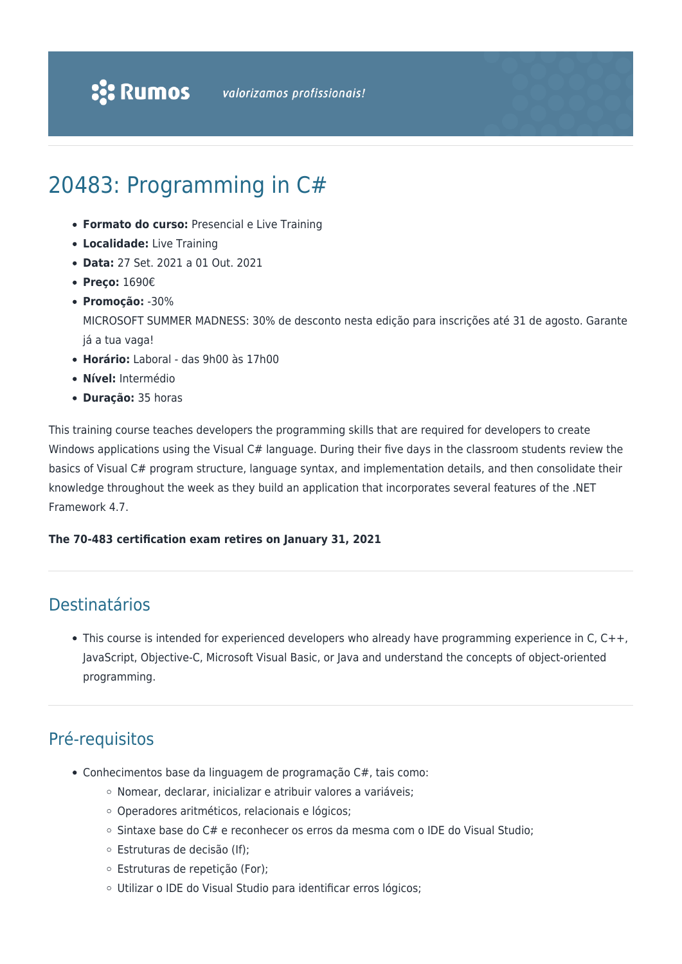# 20483: Programming in C#

- **Formato do curso:** Presencial e Live Training
- **Localidade:** Live Training
- **Data:** 27 Set. 2021 a 01 Out. 2021
- **Preço:** 1690€
- **Promoção:** -30%
	- MICROSOFT SUMMER MADNESS: 30% de desconto nesta edição para inscrições até 31 de agosto. Garante já a tua vaga!
- **Horário:** Laboral das 9h00 às 17h00
- **Nível:** Intermédio
- **Duração:** 35 horas

This training course teaches developers the programming skills that are required for developers to create Windows applications using the Visual C# language. During their five days in the classroom students review the basics of Visual C# program structure, language syntax, and implementation details, and then consolidate their knowledge throughout the week as they build an application that incorporates several features of the .NET Framework 4.7.

#### **The 70-483 certification exam retires on January 31, 2021**

# Destinatários

This course is intended for experienced developers who already have programming experience in C, C++, JavaScript, Objective-C, Microsoft Visual Basic, or Java and understand the concepts of object-oriented programming.

# Pré-requisitos

- Conhecimentos base da linguagem de programação C#, tais como:
	- Nomear, declarar, inicializar e atribuir valores a variáveis;
	- Operadores aritméticos, relacionais e lógicos;
	- Sintaxe base do C# e reconhecer os erros da mesma com o IDE do Visual Studio;
	- Estruturas de decisão (If);
	- Estruturas de repetição (For);
	- Utilizar o IDE do Visual Studio para identificar erros lógicos;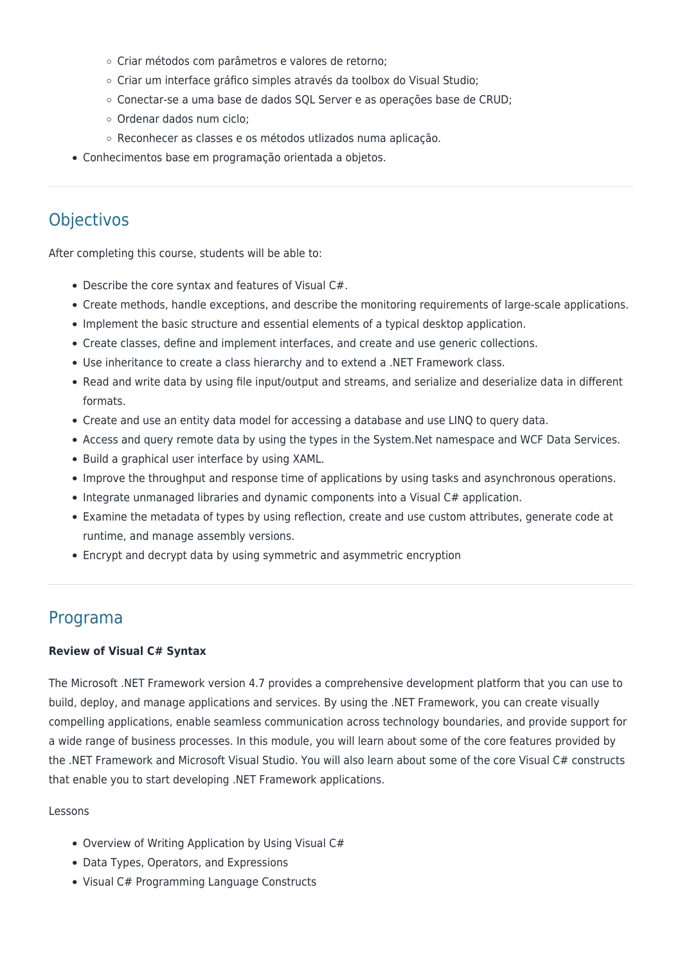- Criar métodos com parâmetros e valores de retorno;
- Criar um interface gráfico simples através da toolbox do Visual Studio;
- Conectar-se a uma base de dados SQL Server e as operações base de CRUD;
- Ordenar dados num ciclo;
- Reconhecer as classes e os métodos utlizados numa aplicação.
- Conhecimentos base em programação orientada a objetos.

# **Objectivos**

After completing this course, students will be able to:

- Describe the core syntax and features of Visual C#.
- Create methods, handle exceptions, and describe the monitoring requirements of large-scale applications.
- Implement the basic structure and essential elements of a typical desktop application.
- Create classes, define and implement interfaces, and create and use generic collections.
- Use inheritance to create a class hierarchy and to extend a .NET Framework class.
- Read and write data by using file input/output and streams, and serialize and deserialize data in different formats.
- Create and use an entity data model for accessing a database and use LINQ to query data.
- Access and query remote data by using the types in the System.Net namespace and WCF Data Services.
- Build a graphical user interface by using XAML.
- Improve the throughput and response time of applications by using tasks and asynchronous operations.
- Integrate unmanaged libraries and dynamic components into a Visual C# application.
- Examine the metadata of types by using reflection, create and use custom attributes, generate code at runtime, and manage assembly versions.
- Encrypt and decrypt data by using symmetric and asymmetric encryption

# Programa

#### **Review of Visual C# Syntax**

The Microsoft .NET Framework version 4.7 provides a comprehensive development platform that you can use to build, deploy, and manage applications and services. By using the .NET Framework, you can create visually compelling applications, enable seamless communication across technology boundaries, and provide support for a wide range of business processes. In this module, you will learn about some of the core features provided by the .NET Framework and Microsoft Visual Studio. You will also learn about some of the core Visual C# constructs that enable you to start developing .NET Framework applications.

#### Lessons

- Overview of Writing Application by Using Visual C#
- Data Types, Operators, and Expressions
- Visual C# Programming Language Constructs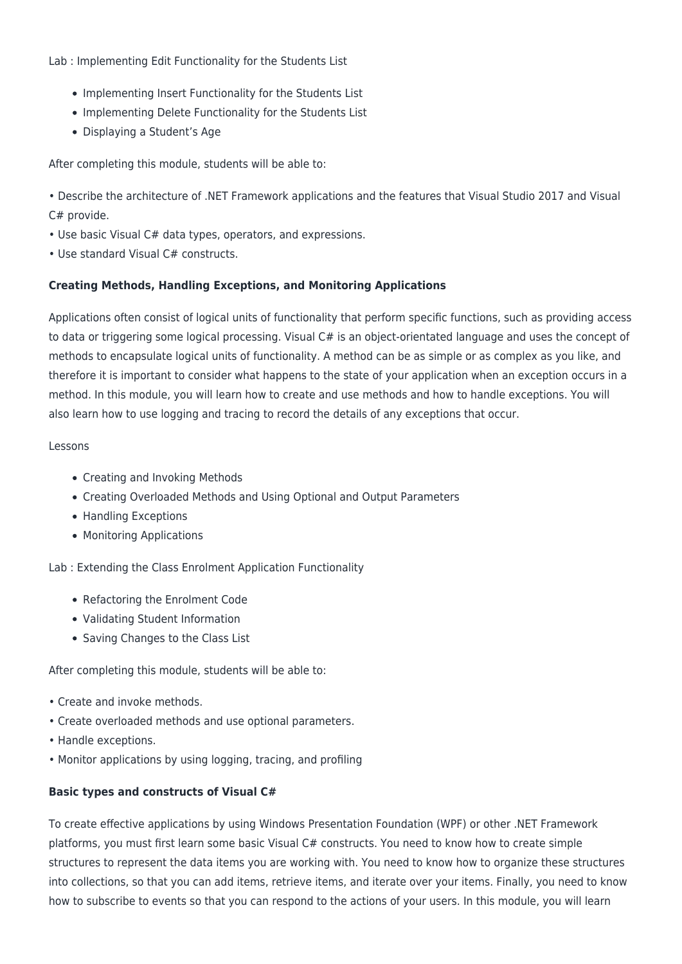Lab : Implementing Edit Functionality for the Students List

- Implementing Insert Functionality for the Students List
- Implementing Delete Functionality for the Students List
- Displaying a Student's Age

After completing this module, students will be able to:

• Describe the architecture of .NET Framework applications and the features that Visual Studio 2017 and Visual C# provide.

- Use basic Visual C# data types, operators, and expressions.
- Use standard Visual C# constructs.

# **Creating Methods, Handling Exceptions, and Monitoring Applications**

Applications often consist of logical units of functionality that perform specific functions, such as providing access to data or triggering some logical processing. Visual C# is an object-orientated language and uses the concept of methods to encapsulate logical units of functionality. A method can be as simple or as complex as you like, and therefore it is important to consider what happens to the state of your application when an exception occurs in a method. In this module, you will learn how to create and use methods and how to handle exceptions. You will also learn how to use logging and tracing to record the details of any exceptions that occur.

#### Lessons

- Creating and Invoking Methods
- Creating Overloaded Methods and Using Optional and Output Parameters
- Handling Exceptions
- Monitoring Applications

Lab : Extending the Class Enrolment Application Functionality

- Refactoring the Enrolment Code
- Validating Student Information
- Saving Changes to the Class List

After completing this module, students will be able to:

- Create and invoke methods.
- Create overloaded methods and use optional parameters.
- Handle exceptions.
- Monitor applications by using logging, tracing, and profiling

# **Basic types and constructs of Visual C#**

To create effective applications by using Windows Presentation Foundation (WPF) or other .NET Framework platforms, you must first learn some basic Visual C# constructs. You need to know how to create simple structures to represent the data items you are working with. You need to know how to organize these structures into collections, so that you can add items, retrieve items, and iterate over your items. Finally, you need to know how to subscribe to events so that you can respond to the actions of your users. In this module, you will learn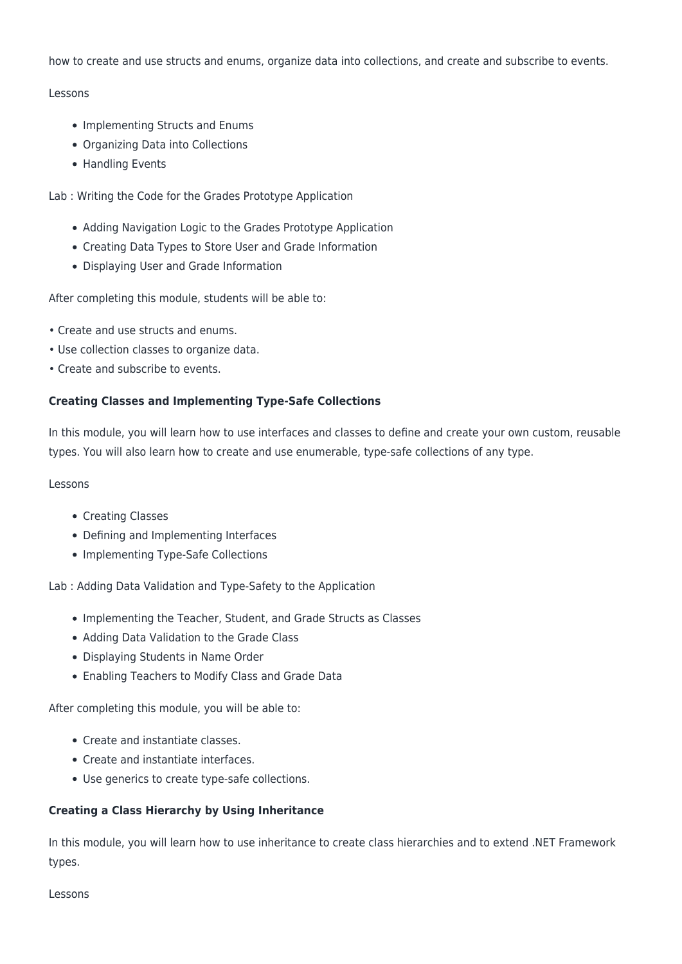how to create and use structs and enums, organize data into collections, and create and subscribe to events.

# Lessons

- Implementing Structs and Enums
- Organizing Data into Collections
- Handling Events

Lab : Writing the Code for the Grades Prototype Application

- Adding Navigation Logic to the Grades Prototype Application
- Creating Data Types to Store User and Grade Information
- Displaying User and Grade Information

After completing this module, students will be able to:

- Create and use structs and enums.
- Use collection classes to organize data.
- Create and subscribe to events.

#### **Creating Classes and Implementing Type-Safe Collections**

In this module, you will learn how to use interfaces and classes to define and create your own custom, reusable types. You will also learn how to create and use enumerable, type-safe collections of any type.

#### Lessons

- Creating Classes
- Defining and Implementing Interfaces
- Implementing Type-Safe Collections

Lab : Adding Data Validation and Type-Safety to the Application

- Implementing the Teacher, Student, and Grade Structs as Classes
- Adding Data Validation to the Grade Class
- Displaying Students in Name Order
- Enabling Teachers to Modify Class and Grade Data

After completing this module, you will be able to:

- Create and instantiate classes.
- Create and instantiate interfaces.
- Use generics to create type-safe collections.

# **Creating a Class Hierarchy by Using Inheritance**

In this module, you will learn how to use inheritance to create class hierarchies and to extend .NET Framework types.

#### Lessons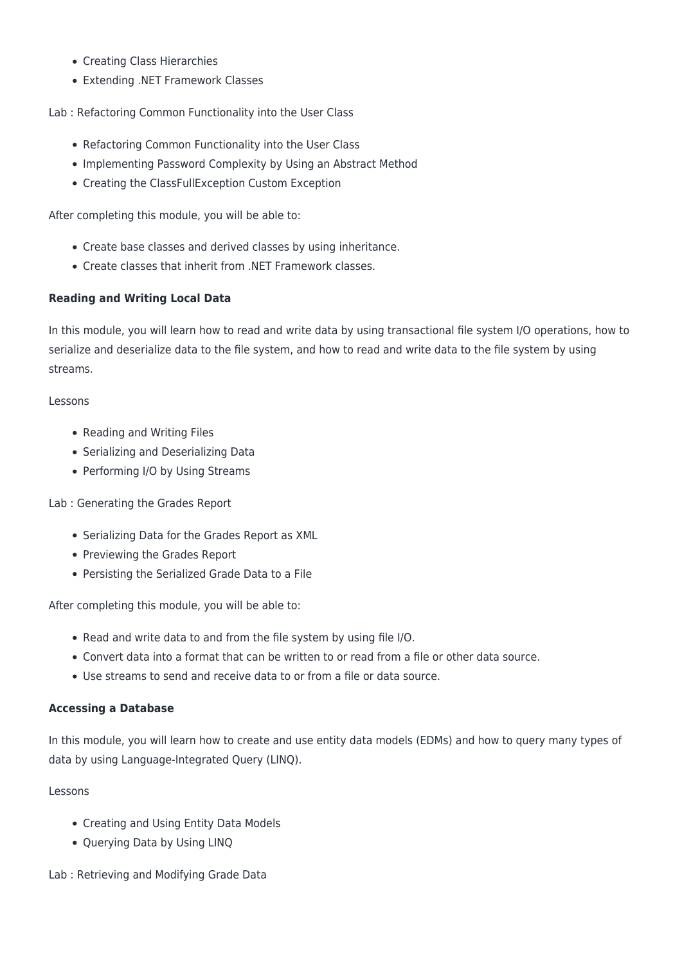- Creating Class Hierarchies
- Extending .NET Framework Classes

Lab : Refactoring Common Functionality into the User Class

- Refactoring Common Functionality into the User Class
- Implementing Password Complexity by Using an Abstract Method
- Creating the ClassFullException Custom Exception

After completing this module, you will be able to:

- Create base classes and derived classes by using inheritance.
- Create classes that inherit from .NET Framework classes.

# **Reading and Writing Local Data**

In this module, you will learn how to read and write data by using transactional file system I/O operations, how to serialize and deserialize data to the file system, and how to read and write data to the file system by using streams.

#### Lessons

- Reading and Writing Files
- Serializing and Deserializing Data
- Performing I/O by Using Streams

Lab : Generating the Grades Report

- Serializing Data for the Grades Report as XML
- Previewing the Grades Report
- Persisting the Serialized Grade Data to a File

After completing this module, you will be able to:

- Read and write data to and from the file system by using file I/O.
- Convert data into a format that can be written to or read from a file or other data source.
- Use streams to send and receive data to or from a file or data source.

#### **Accessing a Database**

In this module, you will learn how to create and use entity data models (EDMs) and how to query many types of data by using Language-Integrated Query (LINQ).

# Lessons

- Creating and Using Entity Data Models
- Querying Data by Using LINQ

Lab : Retrieving and Modifying Grade Data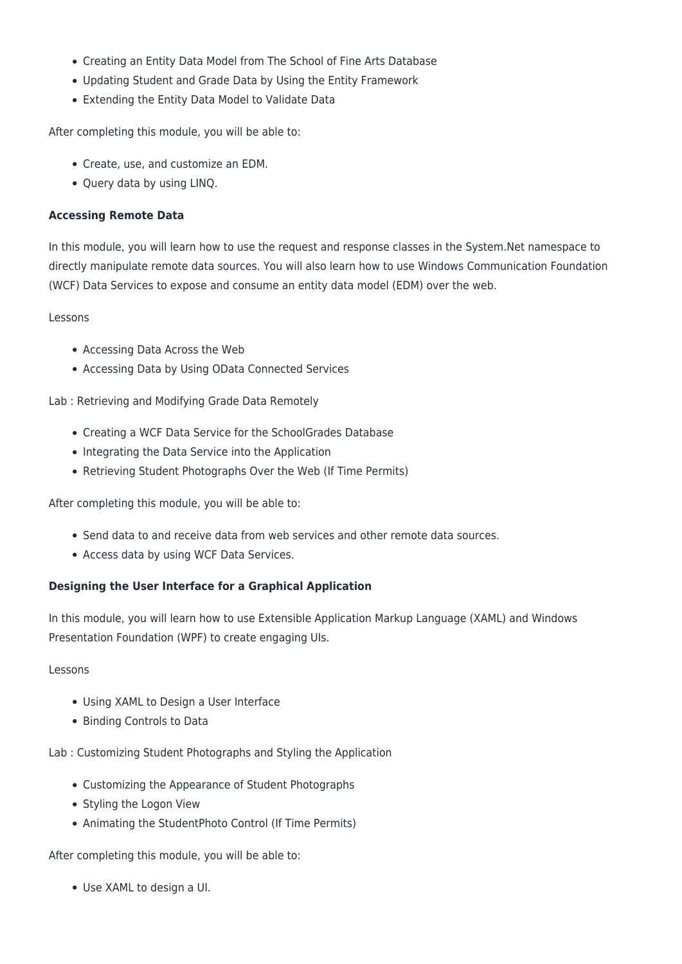- Creating an Entity Data Model from The School of Fine Arts Database
- Updating Student and Grade Data by Using the Entity Framework
- Extending the Entity Data Model to Validate Data

After completing this module, you will be able to:

- Create, use, and customize an EDM.
- Query data by using LINQ.

#### **Accessing Remote Data**

In this module, you will learn how to use the request and response classes in the System.Net namespace to directly manipulate remote data sources. You will also learn how to use Windows Communication Foundation (WCF) Data Services to expose and consume an entity data model (EDM) over the web.

Lessons

- Accessing Data Across the Web
- Accessing Data by Using OData Connected Services

Lab : Retrieving and Modifying Grade Data Remotely

- Creating a WCF Data Service for the SchoolGrades Database
- Integrating the Data Service into the Application
- Retrieving Student Photographs Over the Web (If Time Permits)

After completing this module, you will be able to:

- Send data to and receive data from web services and other remote data sources.
- Access data by using WCF Data Services.

# **Designing the User Interface for a Graphical Application**

In this module, you will learn how to use Extensible Application Markup Language (XAML) and Windows Presentation Foundation (WPF) to create engaging UIs.

#### Lessons

- Using XAML to Design a User Interface
- Binding Controls to Data

Lab : Customizing Student Photographs and Styling the Application

- Customizing the Appearance of Student Photographs
- Styling the Logon View
- Animating the StudentPhoto Control (If Time Permits)

After completing this module, you will be able to:

Use XAML to design a UI.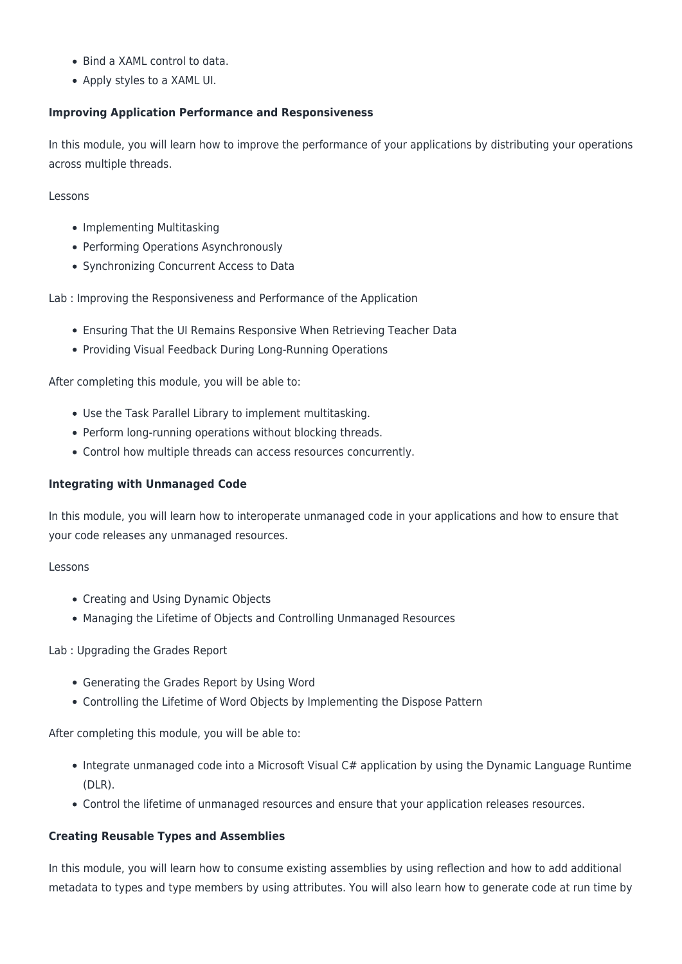- Bind a XAML control to data.
- Apply styles to a XAML UI.

# **Improving Application Performance and Responsiveness**

In this module, you will learn how to improve the performance of your applications by distributing your operations across multiple threads.

Lessons

- Implementing Multitasking
- Performing Operations Asynchronously
- Synchronizing Concurrent Access to Data

Lab : Improving the Responsiveness and Performance of the Application

- Ensuring That the UI Remains Responsive When Retrieving Teacher Data
- Providing Visual Feedback During Long-Running Operations

After completing this module, you will be able to:

- Use the Task Parallel Library to implement multitasking.
- Perform long-running operations without blocking threads.
- Control how multiple threads can access resources concurrently.

### **Integrating with Unmanaged Code**

In this module, you will learn how to interoperate unmanaged code in your applications and how to ensure that your code releases any unmanaged resources.

#### Lessons

- Creating and Using Dynamic Objects
- Managing the Lifetime of Objects and Controlling Unmanaged Resources

# Lab : Upgrading the Grades Report

- Generating the Grades Report by Using Word
- Controlling the Lifetime of Word Objects by Implementing the Dispose Pattern

After completing this module, you will be able to:

- Integrate unmanaged code into a Microsoft Visual C# application by using the Dynamic Language Runtime (DLR).
- Control the lifetime of unmanaged resources and ensure that your application releases resources.

# **Creating Reusable Types and Assemblies**

In this module, you will learn how to consume existing assemblies by using reflection and how to add additional metadata to types and type members by using attributes. You will also learn how to generate code at run time by